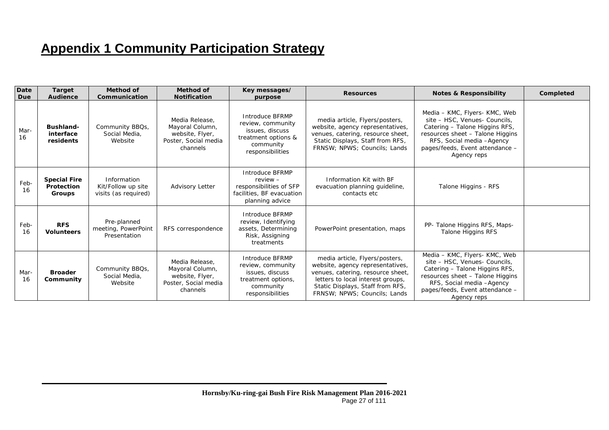## **Appendix 1 Community Participation Strategy**

| Date<br>Due | <b>Target</b><br><b>Audience</b>                   | Method of<br>Communication                                | Method of<br><b>Notification</b>                                                         | Key messages/<br>purpose                                                                                        | <b>Resources</b>                                                                                                                                                                                                 | <b>Notes &amp; Responsibility</b>                                                                                                                                                                                    | Completed |
|-------------|----------------------------------------------------|-----------------------------------------------------------|------------------------------------------------------------------------------------------|-----------------------------------------------------------------------------------------------------------------|------------------------------------------------------------------------------------------------------------------------------------------------------------------------------------------------------------------|----------------------------------------------------------------------------------------------------------------------------------------------------------------------------------------------------------------------|-----------|
| Mar-<br>16  | <b>Bushland-</b><br>interface<br>residents         | Community BBQs,<br>Social Media,<br>Website               | Media Release.<br>Mayoral Column,<br>website, Flyer,<br>Poster, Social media<br>channels | Introduce BFRMP<br>review, community<br>issues, discuss<br>treatment options &<br>community<br>responsibilities | media article, Flyers/posters,<br>website, agency representatives,<br>venues, catering, resource sheet,<br>Static Displays, Staff from RFS,<br>FRNSW; NPWS; Councils; Lands                                      | Media - KMC, Flyers- KMC, Web<br>site - HSC, Venues- Councils,<br>Catering - Talone Higgins RFS,<br>resources sheet - Talone Higgins<br>RFS, Social media - Agency<br>pages/feeds, Event attendance -<br>Agency reps |           |
| Feb-<br>16  | <b>Special Fire</b><br>Protection<br><b>Groups</b> | Information<br>Kit/Follow up site<br>visits (as required) | Advisory Letter                                                                          | Introduce BFRMP<br>$review -$<br>responsibilities of SFP<br>facilities, BF evacuation<br>planning advice        | Information Kit with BF<br>evacuation planning guideline,<br>contacts etc                                                                                                                                        | Talone Higgins - RFS                                                                                                                                                                                                 |           |
| Feb-<br>16  | <b>RFS</b><br><b>Volunteers</b>                    | Pre-planned<br>meeting, PowerPoint<br>Presentation        | RFS correspondence                                                                       | Introduce BFRMP<br>review, Identifying<br>assets, Determining<br>Risk, Assigning<br>treatments                  | PowerPoint presentation, maps                                                                                                                                                                                    | PP- Talone Higgins RFS, Maps-<br>Talone Higgins RFS                                                                                                                                                                  |           |
| Mar-<br>16  | <b>Broader</b><br>Community                        | Community BBQs,<br>Social Media,<br>Website               | Media Release,<br>Mayoral Column,<br>website, Flyer,<br>Poster, Social media<br>channels | Introduce BFRMP<br>review, community<br>issues, discuss<br>treatment options,<br>community<br>responsibilities  | media article, Flyers/posters,<br>website, agency representatives,<br>venues, catering, resource sheet,<br>letters to local interest groups,<br>Static Displays, Staff from RFS,<br>FRNSW: NPWS: Councils: Lands | Media - KMC, Flyers- KMC, Web<br>site - HSC, Venues- Councils,<br>Catering - Talone Higgins RFS,<br>resources sheet - Talone Higgins<br>RFS, Social media - Agency<br>pages/feeds, Event attendance -<br>Agency reps |           |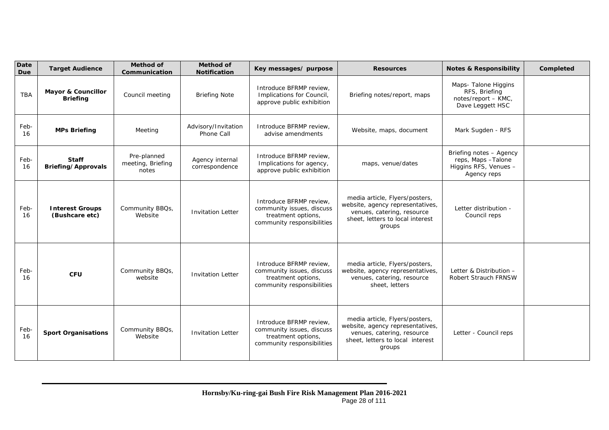| Date<br>Due | <b>Target Audience</b>                           | <b>Method of</b><br>Communication         | <b>Method of</b><br><b>Notification</b> | Key messages/ purpose                                                                                    | <b>Resources</b>                                                                                                                               | <b>Notes &amp; Responsibility</b>                                                      | Completed |
|-------------|--------------------------------------------------|-------------------------------------------|-----------------------------------------|----------------------------------------------------------------------------------------------------------|------------------------------------------------------------------------------------------------------------------------------------------------|----------------------------------------------------------------------------------------|-----------|
| <b>TBA</b>  | <b>Mayor &amp; Councillor</b><br><b>Briefing</b> | Council meeting                           | <b>Briefing Note</b>                    | Introduce BFRMP review,<br>Implications for Council,<br>approve public exhibition                        | Briefing notes/report, maps                                                                                                                    | Maps- Talone Higgins<br>RFS, Briefing<br>notes/report - KMC,<br>Dave Leggett HSC       |           |
| Feb-<br>16  | <b>MPs Briefing</b>                              | Advisory/Invitation<br>Meeting            |                                         | Introduce BFRMP review.<br>advise amendments                                                             | Website, maps, document                                                                                                                        | Mark Sugden - RFS                                                                      |           |
| Feb-<br>16  | <b>Staff</b><br>Briefing/Approvals               | Pre-planned<br>meeting, Briefing<br>notes | Agency internal<br>correspondence       | Introduce BFRMP review,<br>Implications for agency,<br>approve public exhibition                         | maps, venue/dates                                                                                                                              | Briefing notes - Agency<br>reps, Maps - Talone<br>Higgins RFS, Venues -<br>Agency reps |           |
| Feb-<br>16  | <b>Interest Groups</b><br>(Bushcare etc)         | Community BBQs,<br>Website                | <b>Invitation Letter</b>                | Introduce BFRMP review,<br>community issues, discuss<br>treatment options,<br>community responsibilities | media article, Flyers/posters,<br>website, agency representatives,<br>venues, catering, resource<br>sheet, letters to local interest<br>groups | Letter distribution -<br>Council reps                                                  |           |
| Feb-<br>16  | <b>CFU</b>                                       | Community BBQs,<br>website                | <b>Invitation Letter</b>                | Introduce BFRMP review,<br>community issues, discuss<br>treatment options,<br>community responsibilities | media article, Flyers/posters,<br>website, agency representatives,<br>venues, catering, resource<br>sheet, letters                             | Letter & Distribution -<br><b>Robert Strauch FRNSW</b>                                 |           |
| Feb-<br>16  | <b>Sport Organisations</b>                       | Community BBQs,<br>Website                | <b>Invitation Letter</b>                | Introduce BFRMP review.<br>community issues, discuss<br>treatment options,<br>community responsibilities | media article, Flyers/posters,<br>website, agency representatives,<br>venues, catering, resource<br>sheet, letters to local interest<br>groups | Letter - Council reps                                                                  |           |